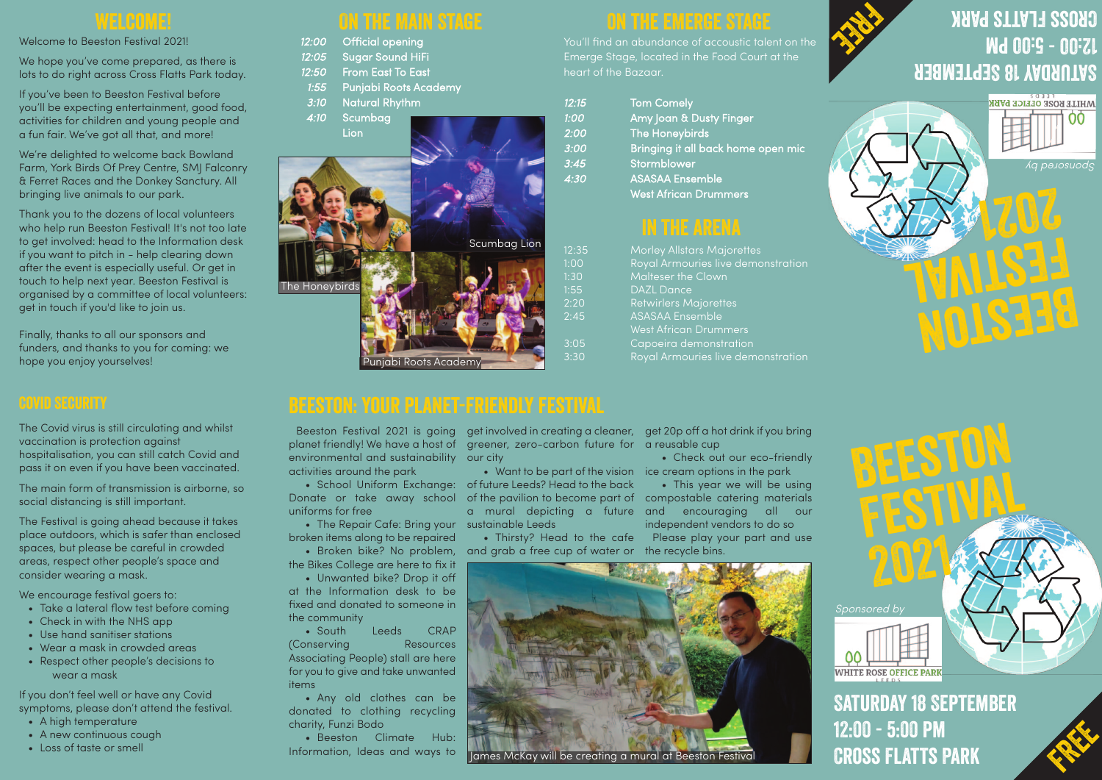**Cross Flatts Park**

#### Welcome to Beeston Festival 2021!

We hope you've come prepared, as there is lots to do right across Cross Flatts Park today.

If you've been to Beeston Festival before you'll be expecting entertainment, good food, activities for children and young people and a fun fair. We've got all that, and more!

We're delighted to welcome back Bowland Farm, York Birds Of Prey Centre, SMJ Falconry & Ferret Races and the Donkey Sanctury. All bringing live animals to our park.

Thank you to the dozens of local volunteers who help run Beeston Festival! It's not too late to get involved: head to the Information desk if you want to pitch in - help clearing down after the event is especially useful. Or get in touch to help next year. Beeston Festival is organised by a committee of local volunteers: get in touch if you'd like to join us.

Finally, thanks to all our sponsors and funders, and thanks to you for coming: we hope you enjoy yourselves!

### **Covid Security**

The Covid virus is still circulating and whilst vaccination is protection against hospitalisation, you can still catch Covid and pass it on even if you have been vaccinated.

The main form of transmission is airborne, so social distancing is still important.

Donate or take away school of the pavilion to become part of compostable catering materials uniforms for free

The Festival is going ahead because it takes place outdoors, which is safer than enclosed spaces, but please be careful in crowded areas, respect other people's space and consider wearing a mask.

We encourage festival goers to:

- Take a lateral flow test before coming
- Check in with the NHS app
- Use hand sanitiser stations
- Wear a mask in crowded areas
- Respect other people's decisions to wear a mask

Beeston Festival 2021 is going get involved in creating a cleaner, get 20p off a hot drink if you bring planet friendly! We have a host of greener, zero-carbon future for a reusable cup

 $1:30$  $1:55$  $2:20$  $2:45$ 

If you don't feel well or have any Covid symptoms, please don't attend the festival. • School Uniform Exchange: of future Leeds? Head to the back • Want to be part of the vision ice cream options in the park a mural depicting a future and encouraging all our

- A high temperature
- A new continuous cough
- Loss of taste or smell

## **THE MAIN STACK**

# **Saturday 18 September 12:00 - 5:00 pm CROSS FLATTS PARK**

## **beeston: your planet-friendly festival**



# **IN THE ARENA**

|                | yiv the Winnin Vincia    |  |                     |  |
|----------------|--------------------------|--|---------------------|--|
| 12:00          | <b>Official opening</b>  |  |                     |  |
| 12:05          | <b>Sugar Sound HiFi</b>  |  |                     |  |
| 12:50          | <b>From East To East</b> |  |                     |  |
| 1:55           | Punjabi Roots Academy    |  |                     |  |
| 3:10           | <b>Natural Rhythm</b>    |  |                     |  |
| 4:10           | Scumbag<br>Lion          |  |                     |  |
| The Honeybirds |                          |  | <b>Scumbag Lion</b> |  |

### **0 THE EMERGE ST**

| 12:35 | <b>Morley Allstars Majorettes</b>  |
|-------|------------------------------------|
| 1:00  | Royal Armouries live demonstration |
| 1:30  | Malteser the Clown                 |
| 1:55  | <b>DAZL Dance</b>                  |
| 2:20  | <b>Retwirlers Majorettes</b>       |
| 2:45  | <b>ASASAA Ensemble</b>             |
|       | <b>West African Drummers</b>       |
| 3:05  | Capoeira demonstration             |
| 3:30  | Royal Armouries live demonstration |
|       |                                    |

Punjabi Roots Academy

environmental and sustainability our city activities around the park

• The Repair Cafe: Bring your sustainable Leeds broken items along to be repaired

• Broken bike? No problem, the Bikes College are here to fix it

• Unwanted bike? Drop it off at the Information desk to be fixed and donated to someone in the community

• South Leeds CRAP (Conserving Resources Associating People) stall are here for you to give and take unwanted items

• Any old clothes can be donated to clothing recycling charity, Funzi Bodo



• Beeston Climate Hub: Information, Ideas and ways to • Check out our eco-friendly

• Thirsty? Head to the cafe and grab a free cup of water or the recycle bins.

• This year we will be using independent vendors to do so

Please play your part and use

You'll find an abundance of accoustic talent on the Emerge Stage, located in the Food Court at the heart of the Bazaar.

| 12:15 | <b>Tom Comely</b>                  |
|-------|------------------------------------|
| 1:00  | Amy Joan & Dusty Finger            |
| 2:00  | The Honeybirds                     |
| 3:00  | Bringing it all back home open mic |
| 3:45  | Stormblower                        |
| 4:30  | <b>ASASAA Ensemble</b>             |
|       | <b>West African Drummers</b>       |